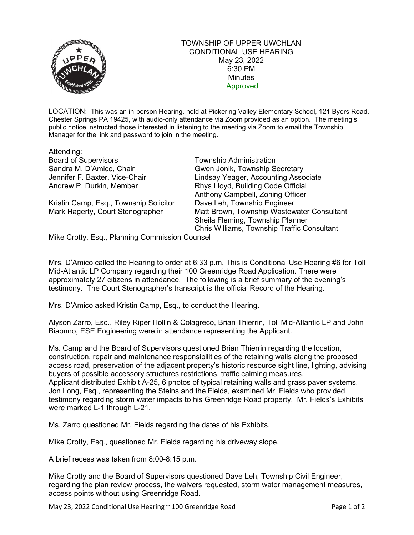

## TOWNSHIP OF UPPER UWCHLAN CONDITIONAL USE HEARING May 23, 2022 6:30 PM **Minutes** Approved

LOCATION: This was an in-person Hearing, held at Pickering Valley Elementary School, 121 Byers Road, Chester Springs PA 19425, with audio-only attendance via Zoom provided as an option. The meeting's public notice instructed those interested in listening to the meeting via Zoom to email the Township Manager for the link and password to join in the meeting.

| Attending:                                    |                                             |
|-----------------------------------------------|---------------------------------------------|
| <b>Board of Supervisors</b>                   | <b>Township Administration</b>              |
| Sandra M. D'Amico, Chair                      | Gwen Jonik, Township Secretary              |
| Jennifer F. Baxter, Vice-Chair                | Lindsay Yeager, Accounting Associate        |
| Andrew P. Durkin, Member                      | Rhys Lloyd, Building Code Official          |
|                                               | Anthony Campbell, Zoning Officer            |
| Kristin Camp, Esq., Township Solicitor        | Dave Leh, Township Engineer                 |
| Mark Hagerty, Court Stenographer              | Matt Brown, Township Wastewater Consultant  |
|                                               | Sheila Fleming, Township Planner            |
|                                               | Chris Williams, Township Traffic Consultant |
| Miles Crotter Fog Dlanning Commission Counsel |                                             |

Mike Crotty, Esq., Planning Commission Counsel

Mrs. D'Amico called the Hearing to order at 6:33 p.m. This is Conditional Use Hearing #6 for Toll Mid-Atlantic LP Company regarding their 100 Greenridge Road Application. There were approximately 27 citizens in attendance. The following is a brief summary of the evening's testimony. The Court Stenographer's transcript is the official Record of the Hearing.

Mrs. D'Amico asked Kristin Camp, Esq., to conduct the Hearing.

Alyson Zarro, Esq., Riley Riper Hollin & Colagreco, Brian Thierrin, Toll Mid-Atlantic LP and John Biaonno, ESE Engineering were in attendance representing the Applicant.

Ms. Camp and the Board of Supervisors questioned Brian Thierrin regarding the location, construction, repair and maintenance responsibilities of the retaining walls along the proposed access road, preservation of the adjacent property's historic resource sight line, lighting, advising buyers of possible accessory structures restrictions, traffic calming measures. Applicant distributed Exhibit A-25, 6 photos of typical retaining walls and grass paver systems. Jon Long, Esq., representing the Steins and the Fields, examined Mr. Fields who provided testimony regarding storm water impacts to his Greenridge Road property. Mr. Fields's Exhibits were marked L-1 through L-21.

Ms. Zarro questioned Mr. Fields regarding the dates of his Exhibits.

Mike Crotty, Esq., questioned Mr. Fields regarding his driveway slope.

A brief recess was taken from 8:00-8:15 p.m.

Mike Crotty and the Board of Supervisors questioned Dave Leh, Township Civil Engineer, regarding the plan review process, the waivers requested, storm water management measures, access points without using Greenridge Road.

May 23, 2022 Conditional Use Hearing  $\sim$  100 Greenridge Road Page 1 of 2